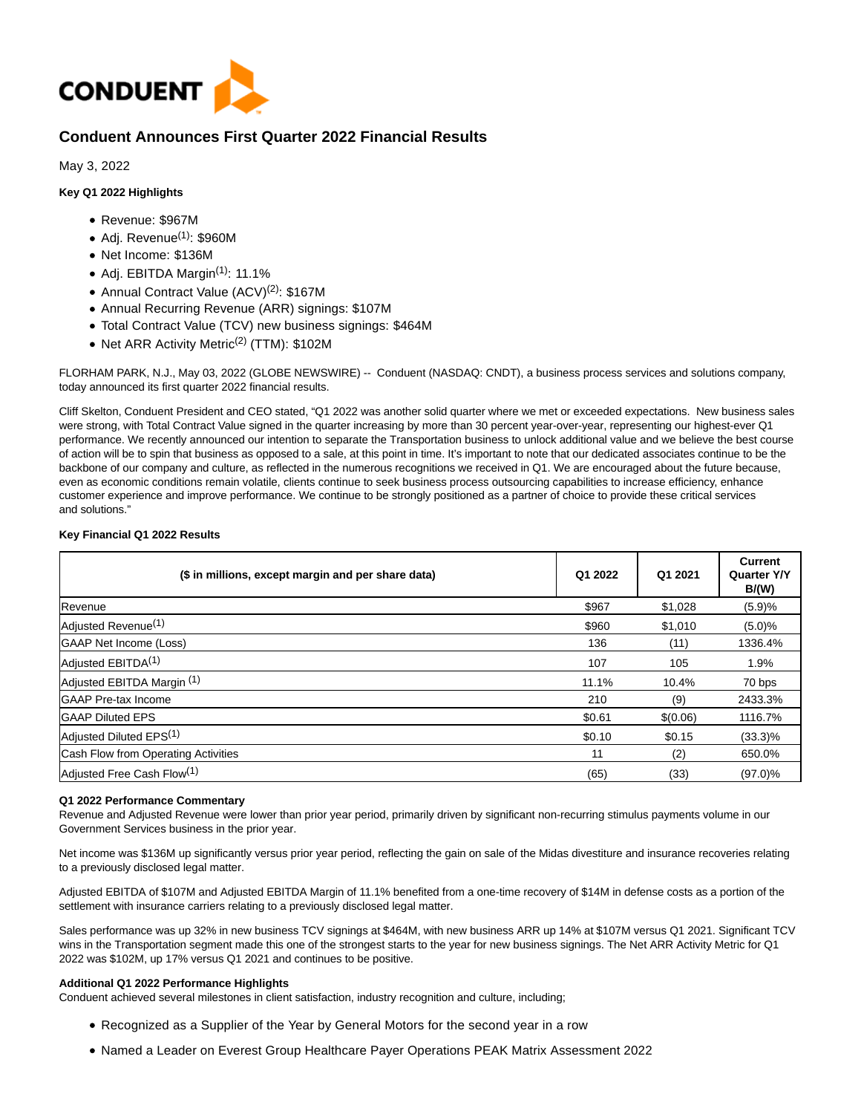

# **Conduent Announces First Quarter 2022 Financial Results**

May 3, 2022

# **Key Q1 2022 Highlights**

- Revenue: \$967M
- $\bullet$  Adj. Revenue<sup>(1)</sup>: \$960M
- Net Income: \$136M
- Adj. EBITDA Margin(1): 11.1%
- Annual Contract Value (ACV)<sup>(2)</sup>: \$167M
- Annual Recurring Revenue (ARR) signings: \$107M
- Total Contract Value (TCV) new business signings: \$464M
- Net ARR Activity Metric<sup>(2)</sup> (TTM): \$102M

FLORHAM PARK, N.J., May 03, 2022 (GLOBE NEWSWIRE) -- Conduent (NASDAQ: CNDT), a business process services and solutions company, today announced its first quarter 2022 financial results.

Cliff Skelton, Conduent President and CEO stated, "Q1 2022 was another solid quarter where we met or exceeded expectations. New business sales were strong, with Total Contract Value signed in the quarter increasing by more than 30 percent year-over-year, representing our highest-ever Q1 performance. We recently announced our intention to separate the Transportation business to unlock additional value and we believe the best course of action will be to spin that business as opposed to a sale, at this point in time. It's important to note that our dedicated associates continue to be the backbone of our company and culture, as reflected in the numerous recognitions we received in Q1. We are encouraged about the future because, even as economic conditions remain volatile, clients continue to seek business process outsourcing capabilities to increase efficiency, enhance customer experience and improve performance. We continue to be strongly positioned as a partner of choice to provide these critical services and solutions."

## **Key Financial Q1 2022 Results**

| (\$ in millions, except margin and per share data) | Q1 2022 | Q1 2021  | <b>Current</b><br><b>Quarter Y/Y</b><br><b>B/(W)</b> |
|----------------------------------------------------|---------|----------|------------------------------------------------------|
| Revenue                                            | \$967   | \$1,028  | (5.9)%                                               |
| Adjusted Revenue <sup>(1)</sup>                    | \$960   | \$1,010  | (5.0)%                                               |
| <b>GAAP Net Income (Loss)</b>                      | 136     | (11)     | 1336.4%                                              |
| Adjusted EBITDA <sup>(1)</sup>                     | 107     | 105      | 1.9%                                                 |
| Adjusted EBITDA Margin (1)                         | 11.1%   | 10.4%    | 70 bps                                               |
| <b>GAAP Pre-tax Income</b>                         | 210     | (9)      | 2433.3%                                              |
| <b>GAAP Diluted EPS</b>                            | \$0.61  | \$(0.06) | 1116.7%                                              |
| Adjusted Diluted EPS <sup>(1)</sup>                | \$0.10  | \$0.15   | $(33.3)\%$                                           |
| Cash Flow from Operating Activities                | 11      | (2)      | 650.0%                                               |
| Adjusted Free Cash Flow <sup>(1)</sup>             | (65)    | (33)     | $(97.0)\%$                                           |

### **Q1 2022 Performance Commentary**

Revenue and Adjusted Revenue were lower than prior year period, primarily driven by significant non-recurring stimulus payments volume in our Government Services business in the prior year.

Net income was \$136M up significantly versus prior year period, reflecting the gain on sale of the Midas divestiture and insurance recoveries relating to a previously disclosed legal matter.

Adjusted EBITDA of \$107M and Adjusted EBITDA Margin of 11.1% benefited from a one-time recovery of \$14M in defense costs as a portion of the settlement with insurance carriers relating to a previously disclosed legal matter.

Sales performance was up 32% in new business TCV signings at \$464M, with new business ARR up 14% at \$107M versus Q1 2021. Significant TCV wins in the Transportation segment made this one of the strongest starts to the year for new business signings. The Net ARR Activity Metric for Q1 2022 was \$102M, up 17% versus Q1 2021 and continues to be positive.

### **Additional Q1 2022 Performance Highlights**

Conduent achieved several milestones in client satisfaction, industry recognition and culture, including;

- Recognized as a Supplier of the Year by General Motors for the second year in a row
- Named a Leader on Everest Group Healthcare Payer Operations PEAK Matrix Assessment 2022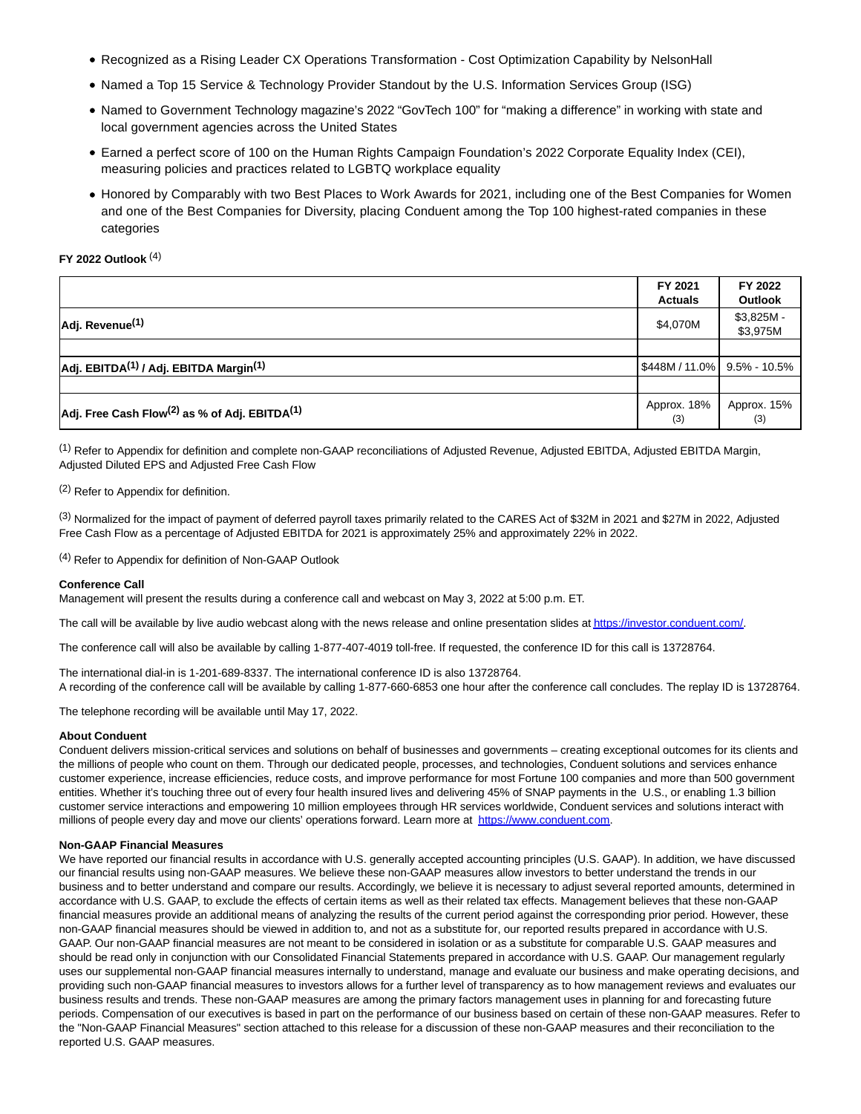- Recognized as a Rising Leader CX Operations Transformation Cost Optimization Capability by NelsonHall
- Named a Top 15 Service & Technology Provider Standout by the U.S. Information Services Group (ISG)
- Named to Government Technology magazine's 2022 "GovTech 100" for "making a difference" in working with state and local government agencies across the United States
- Earned a perfect score of 100 on the Human Rights Campaign Foundation's 2022 Corporate Equality Index (CEI), measuring policies and practices related to LGBTQ workplace equality
- Honored by Comparably with two Best Places to Work Awards for 2021, including one of the Best Companies for Women and one of the Best Companies for Diversity, placing Conduent among the Top 100 highest-rated companies in these categories

### **FY 2022 Outlook** (4)

|                                                                       | FY 2021<br><b>Actuals</b>  | FY 2022<br><b>Outlook</b> |
|-----------------------------------------------------------------------|----------------------------|---------------------------|
| Adj. Revenue <sup>(1)</sup>                                           | \$4,070M                   | $$3,825M -$<br>\$3,975M   |
|                                                                       |                            |                           |
| Adj. EBITDA <sup>(1)</sup> / Adj. EBITDA Margin <sup>(1)</sup>        | S448M / 11.0% 3.5% - 10.5% |                           |
|                                                                       |                            |                           |
| Adj. Free Cash Flow <sup>(2)</sup> as % of Adj. EBITDA <sup>(1)</sup> | Approx. 18%<br>(3)         | Approx. 15%<br>(3)        |

(1) Refer to Appendix for definition and complete non-GAAP reconciliations of Adjusted Revenue, Adjusted EBITDA, Adjusted EBITDA Margin, Adjusted Diluted EPS and Adjusted Free Cash Flow

(2) Refer to Appendix for definition.

(3) Normalized for the impact of payment of deferred payroll taxes primarily related to the CARES Act of \$32M in 2021 and \$27M in 2022, Adjusted Free Cash Flow as a percentage of Adjusted EBITDA for 2021 is approximately 25% and approximately 22% in 2022.

(4) Refer to Appendix for definition of Non-GAAP Outlook

#### **Conference Call**

Management will present the results during a conference call and webcast on May 3, 2022 at 5:00 p.m. ET.

The call will be available by live audio webcast along with the news release and online presentation slides at https://investor.conduent.com/.

The conference call will also be available by calling 1-877-407-4019 toll-free. If requested, the conference ID for this call is 13728764.

The international dial-in is 1-201-689-8337. The international conference ID is also 13728764. A recording of the conference call will be available by calling 1-877-660-6853 one hour after the conference call concludes. The replay ID is 13728764.

The telephone recording will be available until May 17, 2022.

#### **About Conduent**

Conduent delivers mission-critical services and solutions on behalf of businesses and governments – creating exceptional outcomes for its clients and the millions of people who count on them. Through our dedicated people, processes, and technologies, Conduent solutions and services enhance customer experience, increase efficiencies, reduce costs, and improve performance for most Fortune 100 companies and more than 500 government entities. Whether it's touching three out of every four health insured lives and delivering 45% of SNAP payments in the U.S., or enabling 1.3 billion customer service interactions and empowering 10 million employees through HR services worldwide, Conduent services and solutions interact with millions of people every day and move our clients' operations forward. Learn more at [https://www.conduent.com.](https://www.globenewswire.com/Tracker?data=hKBGIxqV-UwxPQH2CvGVqDUAPRChtsqqwwyUwj1H59eptlXd3rtQISoEqZWyiqzKIsYqPC_vNXjVnkWzopR4AXNgyocySKZnV0wgLICkOG0=) 

#### **Non-GAAP Financial Measures**

We have reported our financial results in accordance with U.S. generally accepted accounting principles (U.S. GAAP). In addition, we have discussed our financial results using non-GAAP measures. We believe these non-GAAP measures allow investors to better understand the trends in our business and to better understand and compare our results. Accordingly, we believe it is necessary to adjust several reported amounts, determined in accordance with U.S. GAAP, to exclude the effects of certain items as well as their related tax effects. Management believes that these non-GAAP financial measures provide an additional means of analyzing the results of the current period against the corresponding prior period. However, these non-GAAP financial measures should be viewed in addition to, and not as a substitute for, our reported results prepared in accordance with U.S. GAAP. Our non-GAAP financial measures are not meant to be considered in isolation or as a substitute for comparable U.S. GAAP measures and should be read only in conjunction with our Consolidated Financial Statements prepared in accordance with U.S. GAAP. Our management regularly uses our supplemental non-GAAP financial measures internally to understand, manage and evaluate our business and make operating decisions, and providing such non-GAAP financial measures to investors allows for a further level of transparency as to how management reviews and evaluates our business results and trends. These non-GAAP measures are among the primary factors management uses in planning for and forecasting future periods. Compensation of our executives is based in part on the performance of our business based on certain of these non-GAAP measures. Refer to the "Non-GAAP Financial Measures" section attached to this release for a discussion of these non-GAAP measures and their reconciliation to the reported U.S. GAAP measures.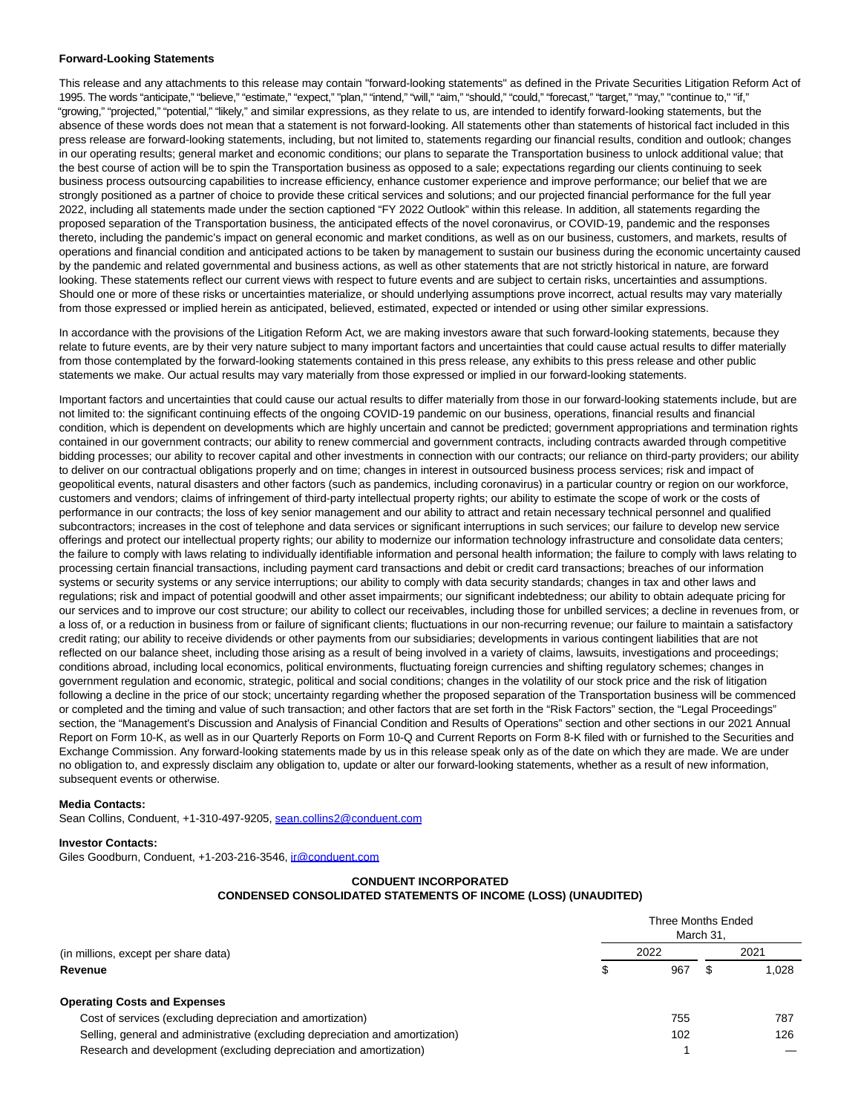### **Forward-Looking Statements**

This release and any attachments to this release may contain "forward-looking statements" as defined in the Private Securities Litigation Reform Act of 1995. The words "anticipate," "believe," "estimate," "expect," "plan," "intend," "will," "aim," "should," "could," "forecast," "target," "may," "continue to," "if," "growing," "projected," "potential," "likely," and similar expressions, as they relate to us, are intended to identify forward-looking statements, but the absence of these words does not mean that a statement is not forward-looking. All statements other than statements of historical fact included in this press release are forward-looking statements, including, but not limited to, statements regarding our financial results, condition and outlook; changes in our operating results; general market and economic conditions; our plans to separate the Transportation business to unlock additional value; that the best course of action will be to spin the Transportation business as opposed to a sale; expectations regarding our clients continuing to seek business process outsourcing capabilities to increase efficiency, enhance customer experience and improve performance; our belief that we are strongly positioned as a partner of choice to provide these critical services and solutions; and our projected financial performance for the full year 2022, including all statements made under the section captioned "FY 2022 Outlook" within this release. In addition, all statements regarding the proposed separation of the Transportation business, the anticipated effects of the novel coronavirus, or COVID-19, pandemic and the responses thereto, including the pandemic's impact on general economic and market conditions, as well as on our business, customers, and markets, results of operations and financial condition and anticipated actions to be taken by management to sustain our business during the economic uncertainty caused by the pandemic and related governmental and business actions, as well as other statements that are not strictly historical in nature, are forward looking. These statements reflect our current views with respect to future events and are subject to certain risks, uncertainties and assumptions. Should one or more of these risks or uncertainties materialize, or should underlying assumptions prove incorrect, actual results may vary materially from those expressed or implied herein as anticipated, believed, estimated, expected or intended or using other similar expressions.

In accordance with the provisions of the Litigation Reform Act, we are making investors aware that such forward-looking statements, because they relate to future events, are by their very nature subject to many important factors and uncertainties that could cause actual results to differ materially from those contemplated by the forward-looking statements contained in this press release, any exhibits to this press release and other public statements we make. Our actual results may vary materially from those expressed or implied in our forward-looking statements.

Important factors and uncertainties that could cause our actual results to differ materially from those in our forward-looking statements include, but are not limited to: the significant continuing effects of the ongoing COVID-19 pandemic on our business, operations, financial results and financial condition, which is dependent on developments which are highly uncertain and cannot be predicted; government appropriations and termination rights contained in our government contracts; our ability to renew commercial and government contracts, including contracts awarded through competitive bidding processes; our ability to recover capital and other investments in connection with our contracts; our reliance on third-party providers; our ability to deliver on our contractual obligations properly and on time; changes in interest in outsourced business process services; risk and impact of geopolitical events, natural disasters and other factors (such as pandemics, including coronavirus) in a particular country or region on our workforce, customers and vendors; claims of infringement of third-party intellectual property rights; our ability to estimate the scope of work or the costs of performance in our contracts; the loss of key senior management and our ability to attract and retain necessary technical personnel and qualified subcontractors; increases in the cost of telephone and data services or significant interruptions in such services; our failure to develop new service offerings and protect our intellectual property rights; our ability to modernize our information technology infrastructure and consolidate data centers; the failure to comply with laws relating to individually identifiable information and personal health information; the failure to comply with laws relating to processing certain financial transactions, including payment card transactions and debit or credit card transactions; breaches of our information systems or security systems or any service interruptions; our ability to comply with data security standards; changes in tax and other laws and regulations; risk and impact of potential goodwill and other asset impairments; our significant indebtedness; our ability to obtain adequate pricing for our services and to improve our cost structure; our ability to collect our receivables, including those for unbilled services; a decline in revenues from, or a loss of, or a reduction in business from or failure of significant clients; fluctuations in our non-recurring revenue; our failure to maintain a satisfactory credit rating; our ability to receive dividends or other payments from our subsidiaries; developments in various contingent liabilities that are not reflected on our balance sheet, including those arising as a result of being involved in a variety of claims, lawsuits, investigations and proceedings; conditions abroad, including local economics, political environments, fluctuating foreign currencies and shifting regulatory schemes; changes in government regulation and economic, strategic, political and social conditions; changes in the volatility of our stock price and the risk of litigation following a decline in the price of our stock; uncertainty regarding whether the proposed separation of the Transportation business will be commenced or completed and the timing and value of such transaction; and other factors that are set forth in the "Risk Factors" section, the "Legal Proceedings" section, the "Management's Discussion and Analysis of Financial Condition and Results of Operations" section and other sections in our 2021 Annual Report on Form 10-K, as well as in our Quarterly Reports on Form 10-Q and Current Reports on Form 8-K filed with or furnished to the Securities and Exchange Commission. Any forward-looking statements made by us in this release speak only as of the date on which they are made. We are under no obligation to, and expressly disclaim any obligation to, update or alter our forward-looking statements, whether as a result of new information, subsequent events or otherwise.

#### **Media Contacts:**

Sean Collins, Conduent, +1-310-497-9205, [sean.collins2@conduent.com](https://www.globenewswire.com/Tracker?data=qtCwK7AS_yqb7yWXWlBtLQVs-10l4Gi0v0OBguRGlTZvpl9mJAbFv4apisj1nTW_5AzEeHs3WNw1jJ_LlorkaCINoLRkFtqX9T3PQDoMVWlMdIywwCfooLH7kX3IZw9g)

#### **Investor Contacts:**

Giles Goodburn, Conduent, +1-203-216-3546, [ir@conduent.com](https://www.globenewswire.com/Tracker?data=b3a18ATaDGAdhCoHHbey3ww2d0DTJBVo4PGQv-XyZGke2tKB3R6oC3NZRsgRXE6MV30iF_G6KmI8lqSEjWSzmA==)

# **CONDUENT INCORPORATED**

# **CONDENSED CONSOLIDATED STATEMENTS OF INCOME (LOSS) (UNAUDITED)**

| (in millions, except per share data)                                          | Three Months Ended<br>March 31. |     |      |       |  |
|-------------------------------------------------------------------------------|---------------------------------|-----|------|-------|--|
|                                                                               | 2022                            |     | 2021 |       |  |
| Revenue                                                                       |                                 | 967 |      | 1.028 |  |
| <b>Operating Costs and Expenses</b>                                           |                                 |     |      |       |  |
| Cost of services (excluding depreciation and amortization)                    |                                 | 755 |      | 787   |  |
| Selling, general and administrative (excluding depreciation and amortization) |                                 | 102 |      | 126   |  |
| Research and development (excluding depreciation and amortization)            |                                 |     |      |       |  |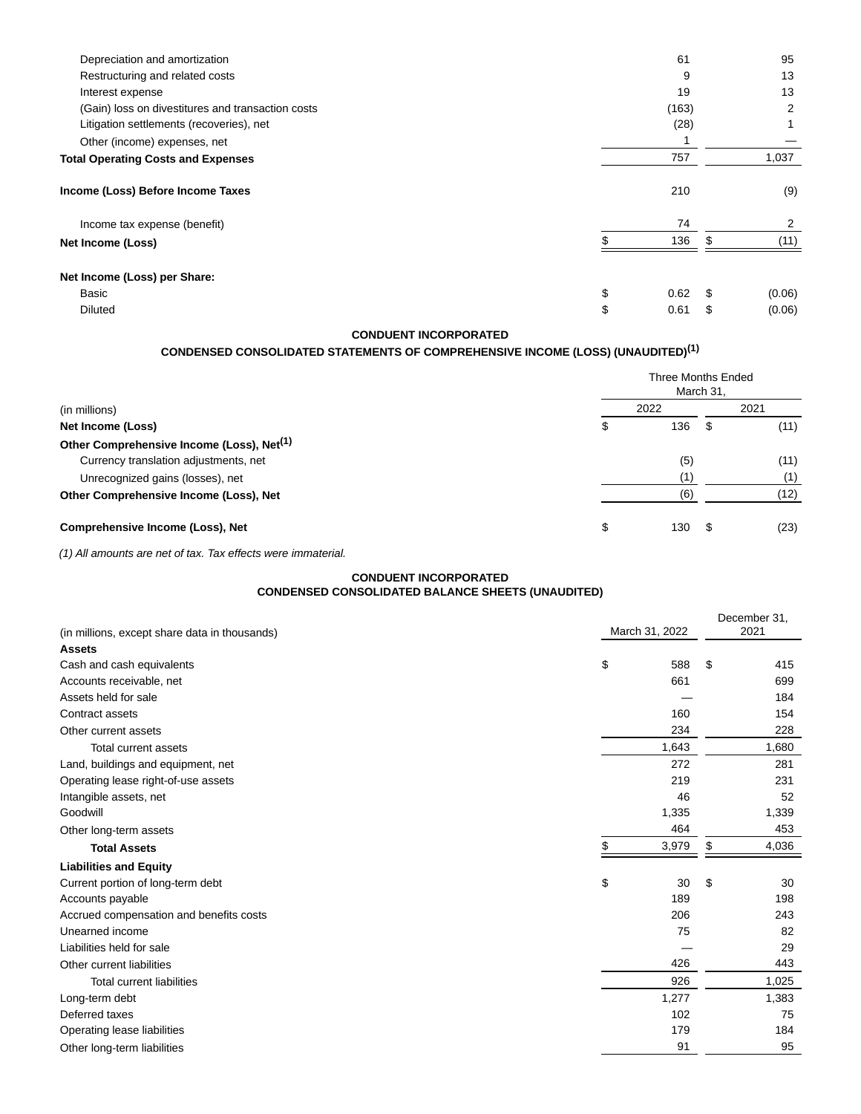| Depreciation and amortization                     |    | 61    |     | 95             |
|---------------------------------------------------|----|-------|-----|----------------|
| Restructuring and related costs                   |    | 9     |     | 13             |
| Interest expense                                  |    | 19    |     | 13             |
| (Gain) loss on divestitures and transaction costs |    | (163) |     | 2              |
| Litigation settlements (recoveries), net          |    | (28)  |     |                |
| Other (income) expenses, net                      |    |       |     |                |
| <b>Total Operating Costs and Expenses</b>         |    | 757   |     | 1,037          |
| Income (Loss) Before Income Taxes                 |    | 210   |     | (9)            |
| Income tax expense (benefit)                      |    | 74    |     | $\overline{2}$ |
| Net Income (Loss)                                 |    | 136   |     | (11)           |
| Net Income (Loss) per Share:                      |    |       |     |                |
| Basic                                             | \$ | 0.62  | \$. | (0.06)         |
| <b>Diluted</b>                                    | S  | 0.61  | \$  | (0.06)         |

# **CONDUENT INCORPORATED**

# **CONDENSED CONSOLIDATED STATEMENTS OF COMPREHENSIVE INCOME (LOSS) (UNAUDITED)(1)**

|                                                       | Three Months Ended<br>March 31, |      |    |      |  |  |
|-------------------------------------------------------|---------------------------------|------|----|------|--|--|
| (in millions)                                         |                                 | 2022 |    | 2021 |  |  |
| Net Income (Loss)                                     |                                 | 136  | \$ | (11) |  |  |
| Other Comprehensive Income (Loss), Net <sup>(1)</sup> |                                 |      |    |      |  |  |
| Currency translation adjustments, net                 |                                 | (5)  |    | (11) |  |  |
| Unrecognized gains (losses), net                      |                                 | (1)  |    | (1)  |  |  |
| Other Comprehensive Income (Loss), Net                |                                 | (6   |    | (12) |  |  |
| Comprehensive Income (Loss), Net                      |                                 | 130  | £. | (23) |  |  |

(1) All amounts are net of tax. Tax effects were immaterial.

# **CONDUENT INCORPORATED CONDENSED CONSOLIDATED BALANCE SHEETS (UNAUDITED)**

| March 31, 2022<br>(in millions, except share data in thousands) | December 31,<br>2021 |  |
|-----------------------------------------------------------------|----------------------|--|
| <b>Assets</b>                                                   |                      |  |
| \$<br>588<br>Cash and cash equivalents                          | \$<br>415            |  |
| Accounts receivable, net<br>661                                 | 699                  |  |
| Assets held for sale                                            | 184                  |  |
| 160<br>Contract assets                                          | 154                  |  |
| 234<br>Other current assets                                     | 228                  |  |
| 1,643<br><b>Total current assets</b>                            | 1,680                |  |
| 272<br>Land, buildings and equipment, net                       | 281                  |  |
| 219<br>Operating lease right-of-use assets                      | 231                  |  |
| Intangible assets, net<br>46                                    | 52                   |  |
| Goodwill<br>1,335                                               | 1,339                |  |
| 464<br>Other long-term assets                                   | 453                  |  |
| 3,979<br><b>Total Assets</b>                                    | \$<br>4,036          |  |
| <b>Liabilities and Equity</b>                                   |                      |  |
| \$<br>Current portion of long-term debt<br>30                   | \$<br>30             |  |
| Accounts payable<br>189                                         | 198                  |  |
| Accrued compensation and benefits costs<br>206                  | 243                  |  |
| Unearned income<br>75                                           | 82                   |  |
| Liabilities held for sale                                       | 29                   |  |
| 426<br>Other current liabilities                                | 443                  |  |
| 926<br><b>Total current liabilities</b>                         | 1,025                |  |
| 1,277<br>Long-term debt                                         | 1,383                |  |
| Deferred taxes<br>102                                           | 75                   |  |
| 179<br>Operating lease liabilities                              | 184                  |  |
| 91<br>Other long-term liabilities                               | 95                   |  |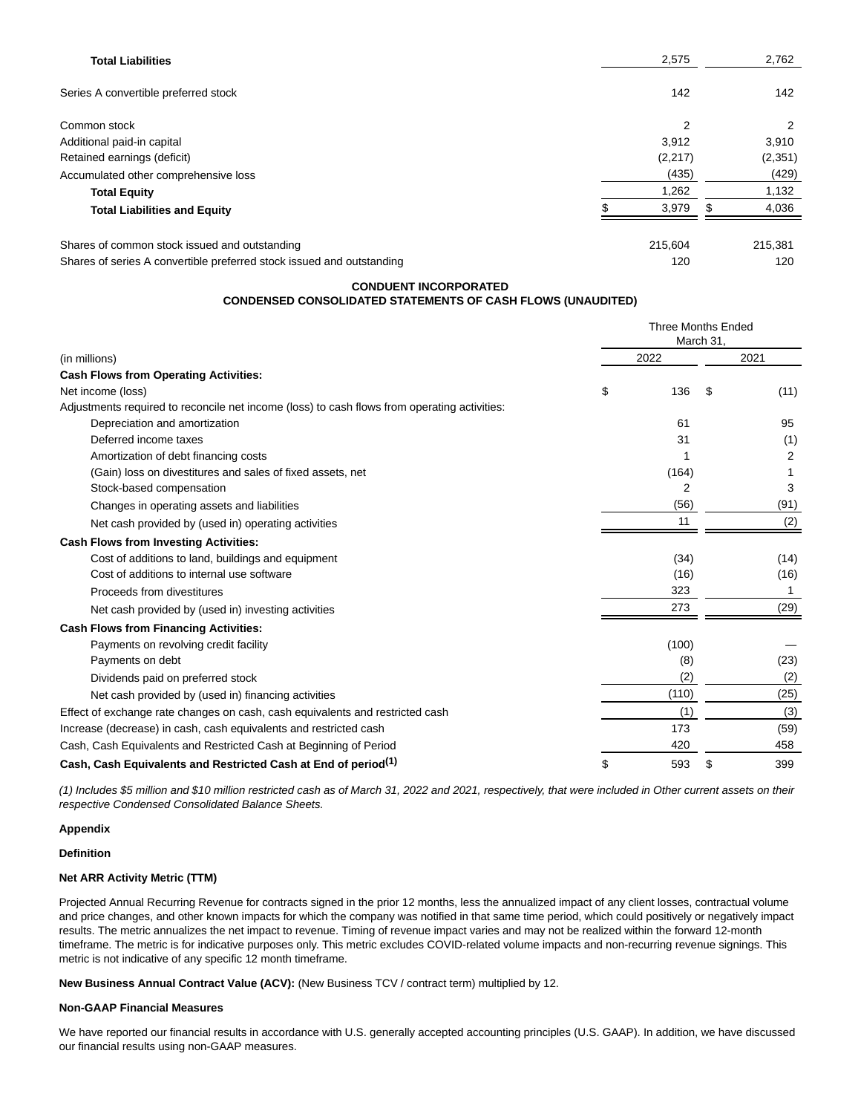| <b>Total Liabilities</b>                                              | 2,575          |     | 2,762   |
|-----------------------------------------------------------------------|----------------|-----|---------|
| Series A convertible preferred stock                                  | 142            |     | 142     |
| Common stock                                                          | $\overline{2}$ |     | 2       |
| Additional paid-in capital                                            | 3,912          |     | 3,910   |
| Retained earnings (deficit)                                           | (2,217)        |     | (2,351) |
| Accumulated other comprehensive loss                                  | (435)          |     | (429)   |
| <b>Total Equity</b>                                                   | 1,262          |     | 1,132   |
| <b>Total Liabilities and Equity</b>                                   | 3,979          | \$. | 4,036   |
| Shares of common stock issued and outstanding                         | 215.604        |     | 215,381 |
| Shares of series A convertible preferred stock issued and outstanding | 120            |     | 120     |

### **CONDUENT INCORPORATED CONDENSED CONSOLIDATED STATEMENTS OF CASH FLOWS (UNAUDITED)**

|                                                                                              | <b>Three Months Ended</b><br>March 31, |                |      |      |
|----------------------------------------------------------------------------------------------|----------------------------------------|----------------|------|------|
| (in millions)                                                                                | 2022                                   |                | 2021 |      |
| <b>Cash Flows from Operating Activities:</b>                                                 |                                        |                |      |      |
| Net income (loss)                                                                            | \$                                     | 136            | S    | (11) |
| Adjustments required to reconcile net income (loss) to cash flows from operating activities: |                                        |                |      |      |
| Depreciation and amortization                                                                |                                        | 61             |      | 95   |
| Deferred income taxes                                                                        |                                        | 31             |      | (1)  |
| Amortization of debt financing costs                                                         |                                        |                |      | 2    |
| (Gain) loss on divestitures and sales of fixed assets, net                                   |                                        | (164)          |      |      |
| Stock-based compensation                                                                     |                                        | $\overline{2}$ |      | 3    |
| Changes in operating assets and liabilities                                                  |                                        | (56)           |      | (91) |
| Net cash provided by (used in) operating activities                                          |                                        | 11             |      | (2)  |
| <b>Cash Flows from Investing Activities:</b>                                                 |                                        |                |      |      |
| Cost of additions to land, buildings and equipment                                           |                                        | (34)           |      | (14) |
| Cost of additions to internal use software                                                   |                                        | (16)           |      | (16) |
| Proceeds from divestitures                                                                   |                                        | 323            |      | 1    |
| Net cash provided by (used in) investing activities                                          |                                        | 273            |      | (29) |
| <b>Cash Flows from Financing Activities:</b>                                                 |                                        |                |      |      |
| Payments on revolving credit facility                                                        |                                        | (100)          |      |      |
| Payments on debt                                                                             |                                        | (8)            |      | (23) |
| Dividends paid on preferred stock                                                            |                                        | (2)            |      | (2)  |
| Net cash provided by (used in) financing activities                                          |                                        | (110)          |      | (25) |
| Effect of exchange rate changes on cash, cash equivalents and restricted cash                |                                        | (1)            |      | (3)  |
| Increase (decrease) in cash, cash equivalents and restricted cash                            |                                        | 173            |      | (59) |
| Cash, Cash Equivalents and Restricted Cash at Beginning of Period                            |                                        | 420            |      | 458  |
| Cash, Cash Equivalents and Restricted Cash at End of period <sup>(1)</sup>                   | \$                                     | 593            | \$   | 399  |

(1) Includes \$5 million and \$10 million restricted cash as of March 31, 2022 and 2021, respectively, that were included in Other current assets on their respective Condensed Consolidated Balance Sheets.

# **Appendix**

### **Definition**

# **Net ARR Activity Metric (TTM)**

Projected Annual Recurring Revenue for contracts signed in the prior 12 months, less the annualized impact of any client losses, contractual volume and price changes, and other known impacts for which the company was notified in that same time period, which could positively or negatively impact results. The metric annualizes the net impact to revenue. Timing of revenue impact varies and may not be realized within the forward 12-month timeframe. The metric is for indicative purposes only. This metric excludes COVID-related volume impacts and non-recurring revenue signings. This metric is not indicative of any specific 12 month timeframe.

**New Business Annual Contract Value (ACV):** (New Business TCV / contract term) multiplied by 12.

### **Non-GAAP Financial Measures**

We have reported our financial results in accordance with U.S. generally accepted accounting principles (U.S. GAAP). In addition, we have discussed our financial results using non-GAAP measures.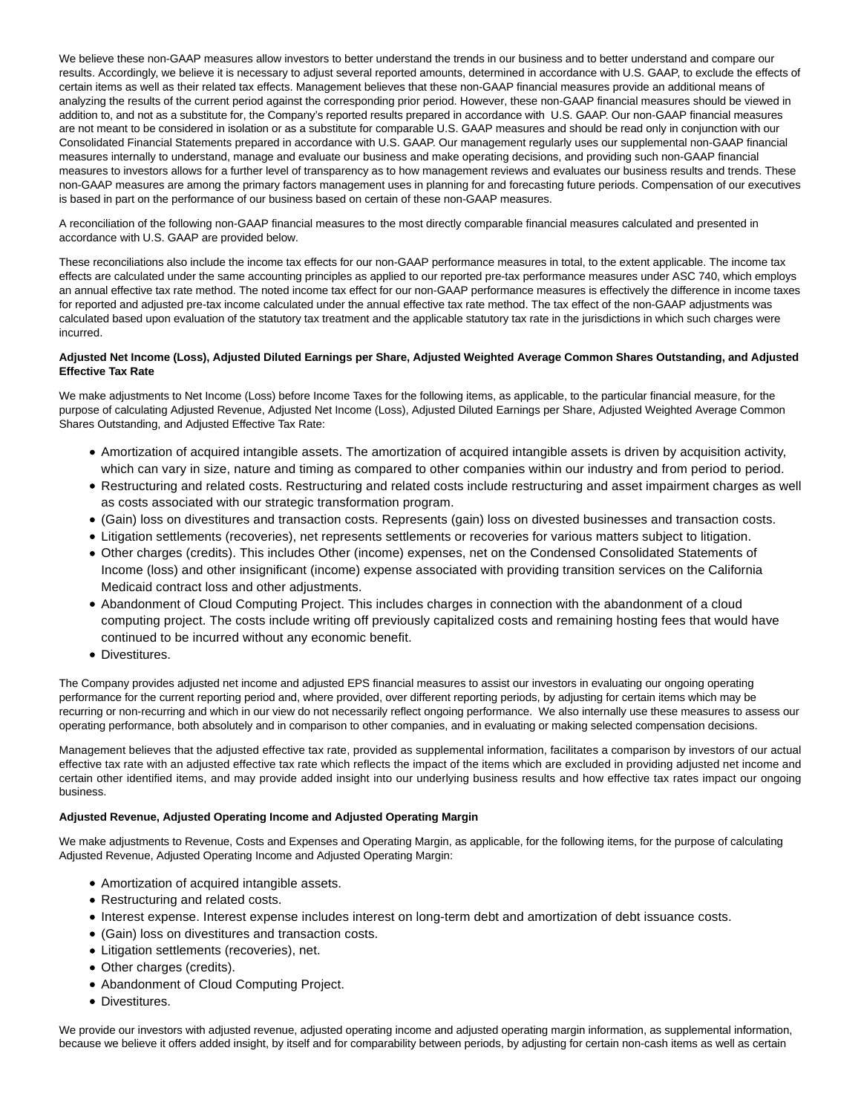We believe these non-GAAP measures allow investors to better understand the trends in our business and to better understand and compare our results. Accordingly, we believe it is necessary to adjust several reported amounts, determined in accordance with U.S. GAAP, to exclude the effects of certain items as well as their related tax effects. Management believes that these non-GAAP financial measures provide an additional means of analyzing the results of the current period against the corresponding prior period. However, these non-GAAP financial measures should be viewed in addition to, and not as a substitute for, the Company's reported results prepared in accordance with U.S. GAAP. Our non-GAAP financial measures are not meant to be considered in isolation or as a substitute for comparable U.S. GAAP measures and should be read only in conjunction with our Consolidated Financial Statements prepared in accordance with U.S. GAAP. Our management regularly uses our supplemental non-GAAP financial measures internally to understand, manage and evaluate our business and make operating decisions, and providing such non-GAAP financial measures to investors allows for a further level of transparency as to how management reviews and evaluates our business results and trends. These non-GAAP measures are among the primary factors management uses in planning for and forecasting future periods. Compensation of our executives is based in part on the performance of our business based on certain of these non-GAAP measures.

A reconciliation of the following non-GAAP financial measures to the most directly comparable financial measures calculated and presented in accordance with U.S. GAAP are provided below.

These reconciliations also include the income tax effects for our non-GAAP performance measures in total, to the extent applicable. The income tax effects are calculated under the same accounting principles as applied to our reported pre-tax performance measures under ASC 740, which employs an annual effective tax rate method. The noted income tax effect for our non-GAAP performance measures is effectively the difference in income taxes for reported and adjusted pre-tax income calculated under the annual effective tax rate method. The tax effect of the non-GAAP adjustments was calculated based upon evaluation of the statutory tax treatment and the applicable statutory tax rate in the jurisdictions in which such charges were incurred.

### **Adjusted Net Income (Loss), Adjusted Diluted Earnings per Share, Adjusted Weighted Average Common Shares Outstanding, and Adjusted Effective Tax Rate**

We make adjustments to Net Income (Loss) before Income Taxes for the following items, as applicable, to the particular financial measure, for the purpose of calculating Adjusted Revenue, Adjusted Net Income (Loss), Adjusted Diluted Earnings per Share, Adjusted Weighted Average Common Shares Outstanding, and Adjusted Effective Tax Rate:

- Amortization of acquired intangible assets. The amortization of acquired intangible assets is driven by acquisition activity, which can vary in size, nature and timing as compared to other companies within our industry and from period to period.
- Restructuring and related costs. Restructuring and related costs include restructuring and asset impairment charges as well as costs associated with our strategic transformation program.
- (Gain) loss on divestitures and transaction costs. Represents (gain) loss on divested businesses and transaction costs.
- Litigation settlements (recoveries), net represents settlements or recoveries for various matters subject to litigation.
- Other charges (credits). This includes Other (income) expenses, net on the Condensed Consolidated Statements of Income (loss) and other insignificant (income) expense associated with providing transition services on the California Medicaid contract loss and other adjustments.
- Abandonment of Cloud Computing Project. This includes charges in connection with the abandonment of a cloud computing project. The costs include writing off previously capitalized costs and remaining hosting fees that would have continued to be incurred without any economic benefit.
- Divestitures.

The Company provides adjusted net income and adjusted EPS financial measures to assist our investors in evaluating our ongoing operating performance for the current reporting period and, where provided, over different reporting periods, by adjusting for certain items which may be recurring or non-recurring and which in our view do not necessarily reflect ongoing performance. We also internally use these measures to assess our operating performance, both absolutely and in comparison to other companies, and in evaluating or making selected compensation decisions.

Management believes that the adjusted effective tax rate, provided as supplemental information, facilitates a comparison by investors of our actual effective tax rate with an adjusted effective tax rate which reflects the impact of the items which are excluded in providing adjusted net income and certain other identified items, and may provide added insight into our underlying business results and how effective tax rates impact our ongoing business.

### **Adjusted Revenue, Adjusted Operating Income and Adjusted Operating Margin**

We make adjustments to Revenue, Costs and Expenses and Operating Margin, as applicable, for the following items, for the purpose of calculating Adjusted Revenue, Adjusted Operating Income and Adjusted Operating Margin:

- Amortization of acquired intangible assets.
- Restructuring and related costs.
- Interest expense. Interest expense includes interest on long-term debt and amortization of debt issuance costs.
- (Gain) loss on divestitures and transaction costs.
- Litigation settlements (recoveries), net.
- Other charges (credits).
- Abandonment of Cloud Computing Project.
- Divestitures.

We provide our investors with adjusted revenue, adjusted operating income and adjusted operating margin information, as supplemental information, because we believe it offers added insight, by itself and for comparability between periods, by adjusting for certain non-cash items as well as certain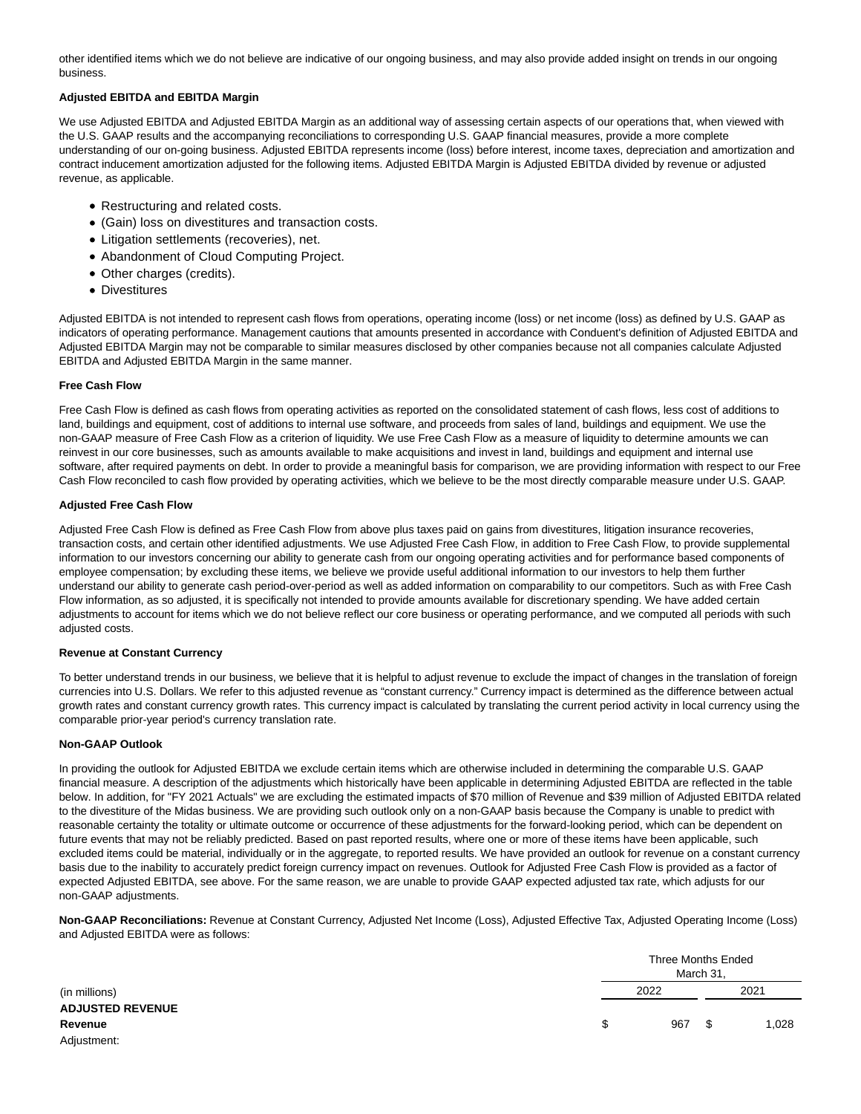other identified items which we do not believe are indicative of our ongoing business, and may also provide added insight on trends in our ongoing business.

### **Adjusted EBITDA and EBITDA Margin**

We use Adjusted EBITDA and Adjusted EBITDA Margin as an additional way of assessing certain aspects of our operations that, when viewed with the U.S. GAAP results and the accompanying reconciliations to corresponding U.S. GAAP financial measures, provide a more complete understanding of our on-going business. Adjusted EBITDA represents income (loss) before interest, income taxes, depreciation and amortization and contract inducement amortization adjusted for the following items. Adjusted EBITDA Margin is Adjusted EBITDA divided by revenue or adjusted revenue, as applicable.

- Restructuring and related costs.
- (Gain) loss on divestitures and transaction costs.
- Litigation settlements (recoveries), net.
- Abandonment of Cloud Computing Project.
- Other charges (credits).
- Divestitures

Adjusted EBITDA is not intended to represent cash flows from operations, operating income (loss) or net income (loss) as defined by U.S. GAAP as indicators of operating performance. Management cautions that amounts presented in accordance with Conduent's definition of Adjusted EBITDA and Adjusted EBITDA Margin may not be comparable to similar measures disclosed by other companies because not all companies calculate Adjusted EBITDA and Adjusted EBITDA Margin in the same manner.

### **Free Cash Flow**

Free Cash Flow is defined as cash flows from operating activities as reported on the consolidated statement of cash flows, less cost of additions to land, buildings and equipment, cost of additions to internal use software, and proceeds from sales of land, buildings and equipment. We use the non-GAAP measure of Free Cash Flow as a criterion of liquidity. We use Free Cash Flow as a measure of liquidity to determine amounts we can reinvest in our core businesses, such as amounts available to make acquisitions and invest in land, buildings and equipment and internal use software, after required payments on debt. In order to provide a meaningful basis for comparison, we are providing information with respect to our Free Cash Flow reconciled to cash flow provided by operating activities, which we believe to be the most directly comparable measure under U.S. GAAP.

### **Adjusted Free Cash Flow**

Adjusted Free Cash Flow is defined as Free Cash Flow from above plus taxes paid on gains from divestitures, litigation insurance recoveries, transaction costs, and certain other identified adjustments. We use Adjusted Free Cash Flow, in addition to Free Cash Flow, to provide supplemental information to our investors concerning our ability to generate cash from our ongoing operating activities and for performance based components of employee compensation; by excluding these items, we believe we provide useful additional information to our investors to help them further understand our ability to generate cash period-over-period as well as added information on comparability to our competitors. Such as with Free Cash Flow information, as so adjusted, it is specifically not intended to provide amounts available for discretionary spending. We have added certain adjustments to account for items which we do not believe reflect our core business or operating performance, and we computed all periods with such adjusted costs.

#### **Revenue at Constant Currency**

To better understand trends in our business, we believe that it is helpful to adjust revenue to exclude the impact of changes in the translation of foreign currencies into U.S. Dollars. We refer to this adjusted revenue as "constant currency." Currency impact is determined as the difference between actual growth rates and constant currency growth rates. This currency impact is calculated by translating the current period activity in local currency using the comparable prior-year period's currency translation rate.

### **Non-GAAP Outlook**

In providing the outlook for Adjusted EBITDA we exclude certain items which are otherwise included in determining the comparable U.S. GAAP financial measure. A description of the adjustments which historically have been applicable in determining Adjusted EBITDA are reflected in the table below. In addition, for "FY 2021 Actuals" we are excluding the estimated impacts of \$70 million of Revenue and \$39 million of Adjusted EBITDA related to the divestiture of the Midas business. We are providing such outlook only on a non-GAAP basis because the Company is unable to predict with reasonable certainty the totality or ultimate outcome or occurrence of these adjustments for the forward-looking period, which can be dependent on future events that may not be reliably predicted. Based on past reported results, where one or more of these items have been applicable, such excluded items could be material, individually or in the aggregate, to reported results. We have provided an outlook for revenue on a constant currency basis due to the inability to accurately predict foreign currency impact on revenues. Outlook for Adjusted Free Cash Flow is provided as a factor of expected Adjusted EBITDA, see above. For the same reason, we are unable to provide GAAP expected adjusted tax rate, which adjusts for our non-GAAP adjustments.

**Non-GAAP Reconciliations:** Revenue at Constant Currency, Adjusted Net Income (Loss), Adjusted Effective Tax, Adjusted Operating Income (Loss) and Adjusted EBITDA were as follows:

|                         | Three Months Ended<br>March 31, |      |    |       |  |
|-------------------------|---------------------------------|------|----|-------|--|
| (in millions)           |                                 | 2022 |    | 2021  |  |
| <b>ADJUSTED REVENUE</b> |                                 |      |    |       |  |
| Revenue                 | S.                              | 967  | \$ | 1,028 |  |
| Adjustment:             |                                 |      |    |       |  |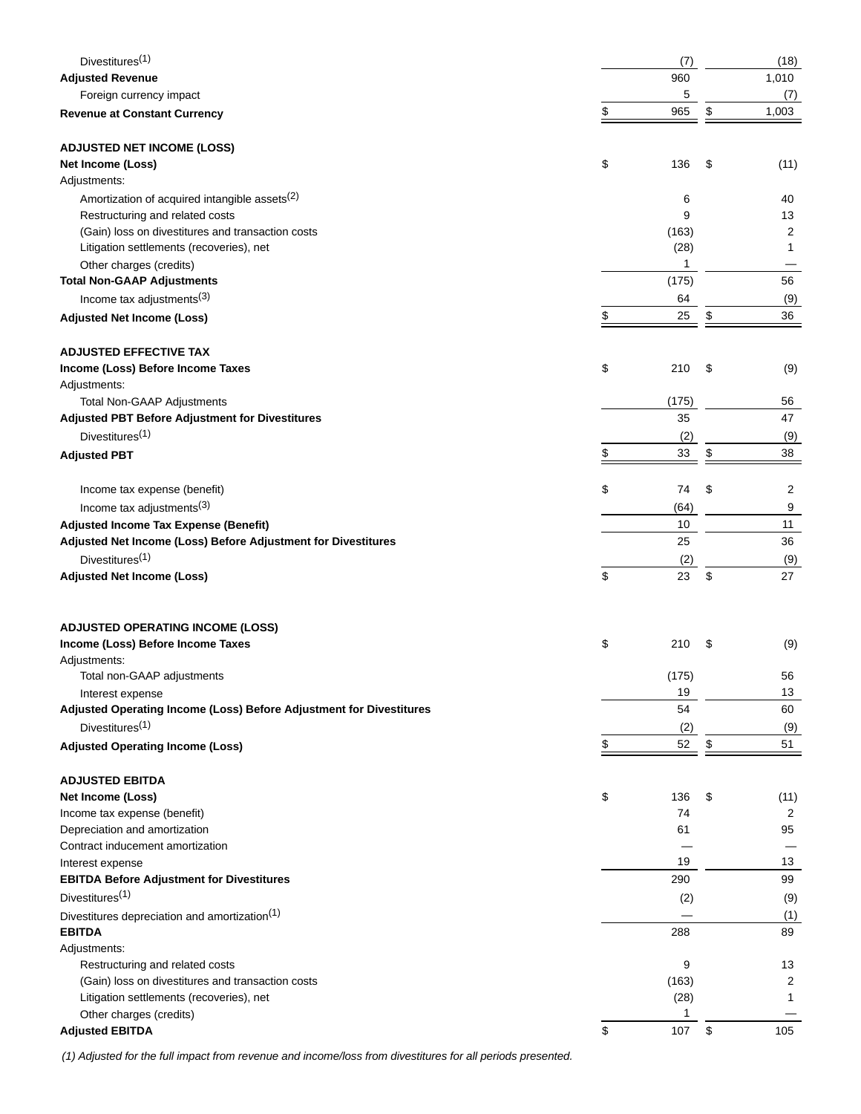| Divestitures <sup>(1)</sup>                                                     | (7)            | (18)                 |
|---------------------------------------------------------------------------------|----------------|----------------------|
| <b>Adjusted Revenue</b>                                                         | 960            | 1,010                |
| Foreign currency impact                                                         | 5              | (7)                  |
| <b>Revenue at Constant Currency</b>                                             | \$<br>965      | \$<br>1,003          |
|                                                                                 |                |                      |
| <b>ADJUSTED NET INCOME (LOSS)</b>                                               |                |                      |
| Net Income (Loss)                                                               | \$<br>136      | \$<br>(11)           |
| Adjustments:                                                                    |                |                      |
| Amortization of acquired intangible assets <sup>(2)</sup>                       | 6              | 40                   |
| Restructuring and related costs                                                 | 9              | 13                   |
| (Gain) loss on divestitures and transaction costs                               | (163)          | 2                    |
| Litigation settlements (recoveries), net                                        | (28)           | $\mathbf{1}$         |
| Other charges (credits)<br><b>Total Non-GAAP Adjustments</b>                    | 1              | 56                   |
|                                                                                 | (175)          |                      |
| Income tax adjustments $(3)$                                                    | \$<br>64<br>25 | \$<br>(9)<br>36      |
| <b>Adjusted Net Income (Loss)</b>                                               |                |                      |
|                                                                                 |                |                      |
| <b>ADJUSTED EFFECTIVE TAX</b>                                                   | 210            | \$                   |
| Income (Loss) Before Income Taxes<br>Adjustments:                               | \$             | (9)                  |
| Total Non-GAAP Adjustments                                                      | (175)          | 56                   |
| <b>Adjusted PBT Before Adjustment for Divestitures</b>                          | 35             | 47                   |
| Divestitures <sup>(1)</sup>                                                     | (2)            | (9)                  |
| <b>Adjusted PBT</b>                                                             | \$<br>33       | \$<br>38             |
|                                                                                 |                |                      |
| Income tax expense (benefit)                                                    | \$<br>74       | \$<br>$\overline{2}$ |
| Income tax adjustments $(3)$                                                    | (64)           | 9                    |
| <b>Adjusted Income Tax Expense (Benefit)</b>                                    | 10             | 11                   |
| Adjusted Net Income (Loss) Before Adjustment for Divestitures                   | 25             | 36                   |
| Divestitures <sup>(1)</sup>                                                     | (2)            | (9)                  |
| <b>Adjusted Net Income (Loss)</b>                                               | \$<br>23       | \$<br>27             |
|                                                                                 |                |                      |
|                                                                                 |                |                      |
| <b>ADJUSTED OPERATING INCOME (LOSS)</b>                                         |                |                      |
| Income (Loss) Before Income Taxes                                               | \$<br>210      | \$<br>(9)            |
| Adjustments:                                                                    |                |                      |
| Total non-GAAP adjustments                                                      | (175)          | 56                   |
| Interest expense                                                                | 19             | 13                   |
| Adjusted Operating Income (Loss) Before Adjustment for Divestitures             | 54             | 60                   |
| Divestitures <sup>(1)</sup>                                                     | (2)            | (9)                  |
| <b>Adjusted Operating Income (Loss)</b>                                         | \$<br>52       | \$<br>51             |
|                                                                                 |                |                      |
| <b>ADJUSTED EBITDA</b>                                                          |                |                      |
| Net Income (Loss)                                                               | \$<br>136      | \$<br>(11)           |
| Income tax expense (benefit)                                                    | 74             | 2                    |
| Depreciation and amortization                                                   | 61             | 95                   |
| Contract inducement amortization                                                |                |                      |
| Interest expense                                                                | 19<br>290      | 13<br>99             |
| <b>EBITDA Before Adjustment for Divestitures</b><br>Divestitures <sup>(1)</sup> |                |                      |
|                                                                                 | (2)            | (9)                  |
| Divestitures depreciation and amortization <sup>(1)</sup>                       |                | (1)                  |
| <b>EBITDA</b>                                                                   | 288            | 89                   |
| Adjustments:<br>Restructuring and related costs                                 | 9              | 13                   |
| (Gain) loss on divestitures and transaction costs                               | (163)          | 2                    |
| Litigation settlements (recoveries), net                                        | (28)           | 1                    |
| Other charges (credits)                                                         | 1              |                      |
| <b>Adjusted EBITDA</b>                                                          | \$<br>107      | \$<br>105            |
|                                                                                 |                |                      |

(1) Adjusted for the full impact from revenue and income/loss from divestitures for all periods presented.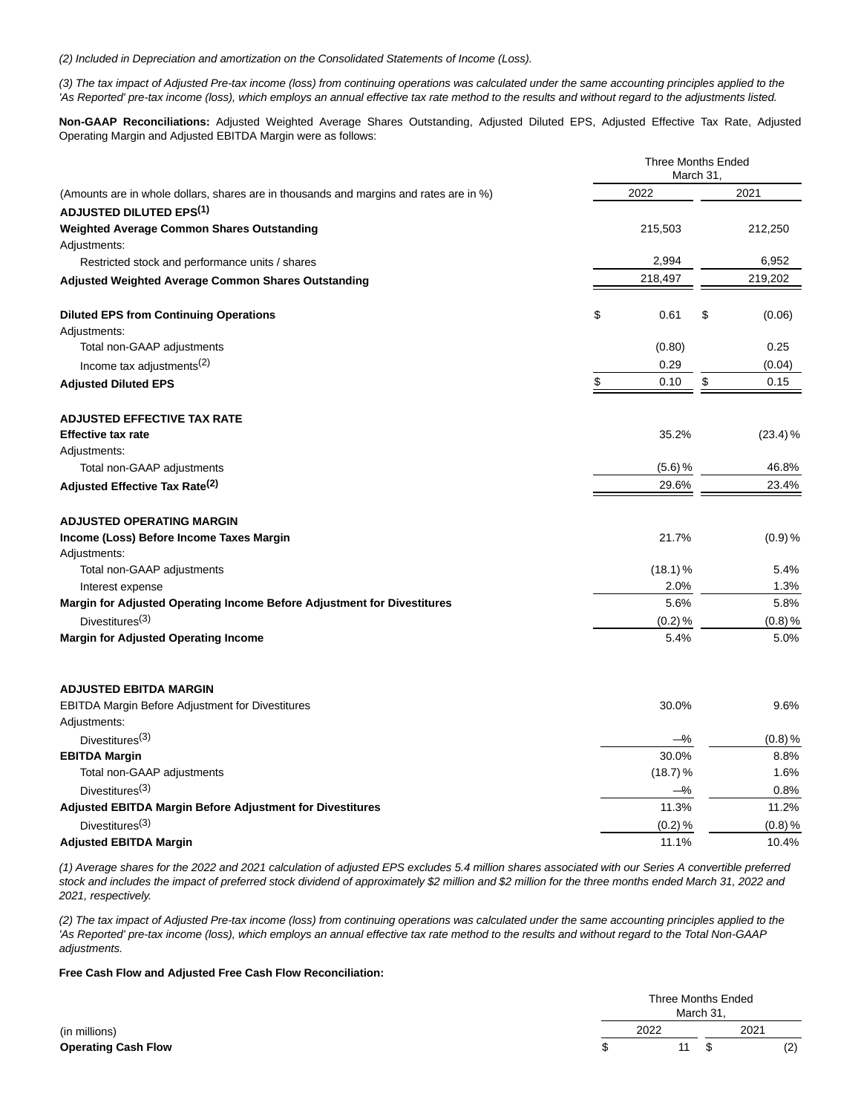(2) Included in Depreciation and amortization on the Consolidated Statements of Income (Loss).

(3) The tax impact of Adjusted Pre-tax income (loss) from continuing operations was calculated under the same accounting principles applied to the 'As Reported' pre-tax income (loss), which employs an annual effective tax rate method to the results and without regard to the adjustments listed.

**Non-GAAP Reconciliations:** Adjusted Weighted Average Shares Outstanding, Adjusted Diluted EPS, Adjusted Effective Tax Rate, Adjusted Operating Margin and Adjusted EBITDA Margin were as follows:

|                                                                                        | <b>Three Months Ended</b><br>March 31, |    |          |  |  |
|----------------------------------------------------------------------------------------|----------------------------------------|----|----------|--|--|
| (Amounts are in whole dollars, shares are in thousands and margins and rates are in %) | 2022                                   |    | 2021     |  |  |
| <b>ADJUSTED DILUTED EPS<sup>(1)</sup></b>                                              |                                        |    |          |  |  |
| Weighted Average Common Shares Outstanding                                             | 215,503                                |    | 212,250  |  |  |
| Adjustments:                                                                           |                                        |    |          |  |  |
| Restricted stock and performance units / shares                                        | 2,994                                  |    | 6,952    |  |  |
| <b>Adjusted Weighted Average Common Shares Outstanding</b>                             | 218,497                                |    | 219,202  |  |  |
| <b>Diluted EPS from Continuing Operations</b>                                          | \$<br>0.61                             | \$ | (0.06)   |  |  |
| Adjustments:                                                                           |                                        |    |          |  |  |
| Total non-GAAP adjustments                                                             | (0.80)                                 |    | 0.25     |  |  |
| Income tax adjustments $(2)$                                                           | 0.29                                   |    | (0.04)   |  |  |
| <b>Adjusted Diluted EPS</b>                                                            | 0.10<br>\$                             | \$ | 0.15     |  |  |
| <b>ADJUSTED EFFECTIVE TAX RATE</b>                                                     |                                        |    |          |  |  |
| <b>Effective tax rate</b>                                                              | 35.2%                                  |    | (23.4) % |  |  |
| Adjustments:                                                                           |                                        |    |          |  |  |
| Total non-GAAP adjustments                                                             | (5.6) %                                |    | 46.8%    |  |  |
| Adjusted Effective Tax Rate <sup>(2)</sup>                                             | 29.6%                                  |    | 23.4%    |  |  |
| <b>ADJUSTED OPERATING MARGIN</b>                                                       |                                        |    |          |  |  |
| Income (Loss) Before Income Taxes Margin                                               | 21.7%                                  |    | (0.9) %  |  |  |
| Adjustments:                                                                           |                                        |    |          |  |  |
| Total non-GAAP adjustments                                                             | $(18.1)$ %                             |    | 5.4%     |  |  |
| Interest expense                                                                       | 2.0%                                   |    | 1.3%     |  |  |
| Margin for Adjusted Operating Income Before Adjustment for Divestitures                | 5.6%                                   |    | 5.8%     |  |  |
| Divestitures <sup>(3)</sup>                                                            | (0.2) %                                |    | (0.8) %  |  |  |
| <b>Margin for Adjusted Operating Income</b>                                            | 5.4%                                   |    | 5.0%     |  |  |
| <b>ADJUSTED EBITDA MARGIN</b>                                                          |                                        |    |          |  |  |
| EBITDA Margin Before Adjustment for Divestitures                                       | 30.0%                                  |    | 9.6%     |  |  |
| Adjustments:                                                                           |                                        |    |          |  |  |
| Divestitures $(3)$                                                                     | −%                                     |    | (0.8) %  |  |  |
| <b>EBITDA Margin</b>                                                                   | 30.0%                                  |    | 8.8%     |  |  |
| Total non-GAAP adjustments                                                             | (18.7) %                               |    | 1.6%     |  |  |
| Divestitures <sup>(3)</sup>                                                            | –%                                     |    | 0.8%     |  |  |
| <b>Adjusted EBITDA Margin Before Adjustment for Divestitures</b>                       | 11.3%                                  |    | 11.2%    |  |  |
| Divestitures <sup>(3)</sup>                                                            | (0.2) %                                |    | (0.8) %  |  |  |
| <b>Adjusted EBITDA Margin</b>                                                          | 11.1%                                  |    | 10.4%    |  |  |

(1) Average shares for the 2022 and 2021 calculation of adjusted EPS excludes 5.4 million shares associated with our Series A convertible preferred stock and includes the impact of preferred stock dividend of approximately \$2 million and \$2 million for the three months ended March 31, 2022 and 2021, respectively.

(2) The tax impact of Adjusted Pre-tax income (loss) from continuing operations was calculated under the same accounting principles applied to the 'As Reported' pre-tax income (loss), which employs an annual effective tax rate method to the results and without regard to the Total Non-GAAP adjustments.

### **Free Cash Flow and Adjusted Free Cash Flow Reconciliation:**

|                            |  | Three Months Ended<br>March 31, |  |      |     |  |
|----------------------------|--|---------------------------------|--|------|-----|--|
| (in millions)              |  | 2022                            |  | 2021 |     |  |
| <b>Operating Cash Flow</b> |  | 11                              |  |      | (2) |  |